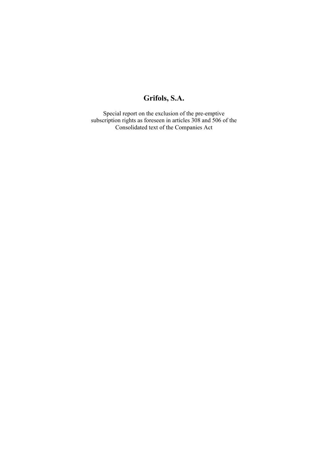# **Grifols, S.A.**

Special report on the exclusion of the pre-emptive subscription rights as foreseen in articles 308 and 506 of the Consolidated text of the Companies Act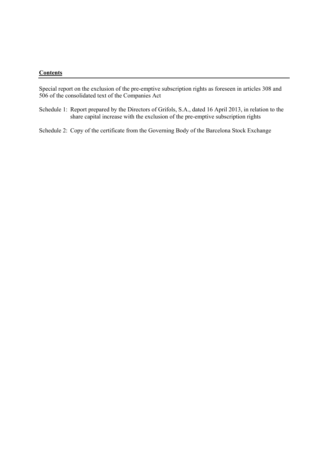#### **Contents**

Special report on the exclusion of the pre-emptive subscription rights as foreseen in articles 308 and 506 of the consolidated text of the Companies Act

Schedule 1: Report prepared by the Directors of Grifols, S.A., dated 16 April 2013, in relation to the share capital increase with the exclusion of the pre-emptive subscription rights

Schedule 2: Copy of the certificate from the Governing Body of the Barcelona Stock Exchange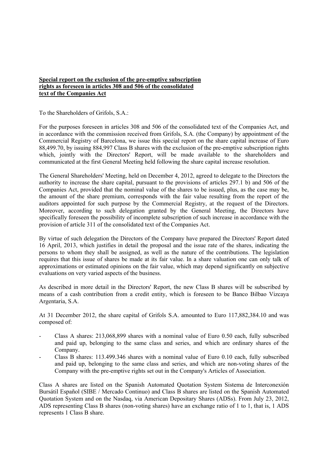#### **Special report on the exclusion of the pre-emptive subscription rights as foreseen in articles 308 and 506 of the consolidated text of the Companies Act**

To the Shareholders of Grifols, S.A.:

For the purposes foreseen in articles 308 and 506 of the consolidated text of the Companies Act, and in accordance with the commission received from Grifols, S.A. (the Company) by appointment of the Commercial Registry of Barcelona, we issue this special report on the share capital increase of Euro 88,499.70, by issuing 884,997 Class B shares with the exclusion of the pre-emptive subscription rights which, jointly with the Directors' Report, will be made available to the shareholders and communicated at the first General Meeting held following the share capital increase resolution.

The General Shareholders' Meeting, held on December 4, 2012, agreed to delegate to the Directors the authority to increase the share capital, pursuant to the provisions of articles 297.1 b) and 506 of the Companies Act, provided that the nominal value of the shares to be issued, plus, as the case may be, the amount of the share premium, corresponds with the fair value resulting from the report of the auditors appointed for such purpose by the Commercial Registry, at the request of the Directors. Moreover, according to such delegation granted by the General Meeting, the Directors have specifically foreseen the possibility of incomplete subscription of such increase in accordance with the provision of article 311 of the consolidated text of the Companies Act.

By virtue of such delegation the Directors of the Company have prepared the Directors' Report dated 16 April, 2013, which justifies in detail the proposal and the issue rate of the shares, indicating the persons to whom they shall be assigned, as well as the nature of the contributions. The legislation requires that this issue of shares be made at its fair value. In a share valuation one can only talk of approximations or estimated opinions on the fair value, which may depend significantly on subjective evaluations on very varied aspects of the business.

As described in more detail in the Directors' Report, the new Class B shares will be subscribed by means of a cash contribution from a credit entity, which is foreseen to be Banco Bilbao Vizcaya Argentaria, S.A.

At 31 December 2012, the share capital of Grifols S.A. amounted to Euro 117,882,384.10 and was composed of:

- Class A shares: 213,068,899 shares with a nominal value of Euro 0.50 each, fully subscribed and paid up, belonging to the same class and series, and which are ordinary shares of the Company.
- Class B shares: 113.499.346 shares with a nominal value of Euro 0.10 each, fully subscribed and paid up, belonging to the same class and series, and which are non-voting shares of the Company with the pre-emptive rights set out in the Company's Articles of Association.

Class A shares are listed on the Spanish Automated Quotation System Sistema de Interconexión Bursátil Español (SIBE / Mercado Continuo) and Class B shares are listed on the Spanish Automated Quotation System and on the Nasdaq, via American Depositary Shares (ADSs). From July 23, 2012, ADS representing Class B shares (non-voting shares) have an exchange ratio of 1 to 1, that is, 1 ADS represents 1 Class B share.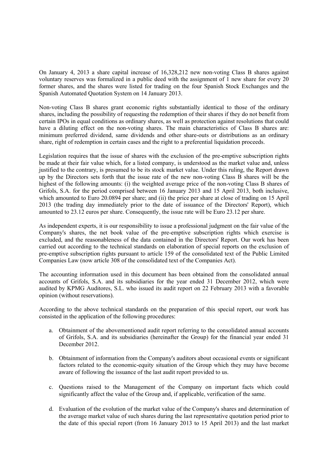On January 4, 2013 a share capital increase of 16,328,212 new non-voting Class B shares against voluntary reserves was formalized in a public deed with the assignment of 1 new share for every 20 former shares, and the shares were listed for trading on the four Spanish Stock Exchanges and the Spanish Automated Quotation System on 14 January 2013.

Non-voting Class B shares grant economic rights substantially identical to those of the ordinary shares, including the possibility of requesting the redemption of their shares if they do not benefit from certain IPOs in equal conditions as ordinary shares, as well as protection against resolutions that could have a diluting effect on the non-voting shares. The main characteristics of Class B shares are: minimum preferred dividend, same dividends and other share-outs or distributions as an ordinary share, right of redemption in certain cases and the right to a preferential liquidation proceeds.

Legislation requires that the issue of shares with the exclusion of the pre-emptive subscription rights be made at their fair value which, for a listed company, is understood as the market value and, unless justified to the contrary, is presumed to be its stock market value. Under this ruling, the Report drawn up by the Directors sets forth that the issue rate of the new non-voting Class B shares will be the highest of the following amounts: (i) the weighted average price of the non-voting Class B shares of Grifols, S.A. for the period comprised between 16 January 2013 and 15 April 2013, both inclusive, which amounted to Euro 20.0894 per share; and (ii) the price per share at close of trading on 15 April 2013 (the trading day immediately prior to the date of issuance of the Directors' Report), which amounted to 23.12 euros per share. Consequently, the issue rate will be Euro 23.12 per share.

As independent experts, it is our responsibility to issue a professional judgment on the fair value of the Company's shares, the net book value of the pre-emptive subscription rights which exercise is excluded, and the reasonableness of the data contained in the Directors' Report. Our work has been carried out according to the technical standards on elaboration of special reports on the exclusion of pre-emptive subscription rights pursuant to article 159 of the consolidated text of the Public Limited Companies Law (now article 308 of the consolidated text of the Companies Act).

The accounting information used in this document has been obtained from the consolidated annual accounts of Grifols, S.A. and its subsidiaries for the year ended 31 December 2012, which were audited by KPMG Auditores, S.L. who issued its audit report on 22 February 2013 with a favorable opinion (without reservations).

According to the above technical standards on the preparation of this special report, our work has consisted in the application of the following procedures:

- a. Obtainment of the abovementioned audit report referring to the consolidated annual accounts of Grifols, S.A. and its subsidiaries (hereinafter the Group) for the financial year ended 31 December 2012.
- b. Obtainment of information from the Company's auditors about occasional events or significant factors related to the economic-equity situation of the Group which they may have become aware of following the issuance of the last audit report provided to us.
- c. Questions raised to the Management of the Company on important facts which could significantly affect the value of the Group and, if applicable, verification of the same.
- d. Evaluation of the evolution of the market value of the Company's shares and determination of the average market value of such shares during the last representative quotation period prior to the date of this special report (from 16 January 2013 to 15 April 2013) and the last market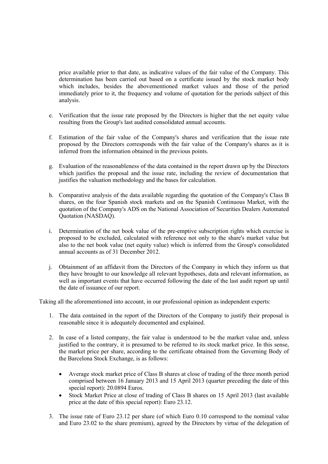price available prior to that date, as indicative values of the fair value of the Company. This determination has been carried out based on a certificate issued by the stock market body which includes, besides the abovementioned market values and those of the period immediately prior to it, the frequency and volume of quotation for the periods subject of this analysis.

- e. Verification that the issue rate proposed by the Directors is higher that the net equity value resulting from the Group's last audited consolidated annual accounts.
- f. Estimation of the fair value of the Company's shares and verification that the issue rate proposed by the Directors corresponds with the fair value of the Company's shares as it is inferred from the information obtained in the previous points.
- g. Evaluation of the reasonableness of the data contained in the report drawn up by the Directors which justifies the proposal and the issue rate, including the review of documentation that justifies the valuation methodology and the bases for calculation.
- h. Comparative analysis of the data available regarding the quotation of the Company's Class B shares, on the four Spanish stock markets and on the Spanish Continuous Market, with the quotation of the Company's ADS on the National Association of Securities Dealers Automated Quotation (NASDAQ).
- i. Determination of the net book value of the pre-emptive subscription rights which exercise is proposed to be excluded, calculated with reference not only to the share's market value but also to the net book value (net equity value) which is inferred from the Group's consolidated annual accounts as of 31 December 2012.
- j. Obtainment of an affidavit from the Directors of the Company in which they inform us that they have brought to our knowledge all relevant hypotheses, data and relevant information, as well as important events that have occurred following the date of the last audit report up until the date of issuance of our report.

Taking all the aforementioned into account, in our professional opinion as independent experts:

- 1. The data contained in the report of the Directors of the Company to justify their proposal is reasonable since it is adequately documented and explained.
- 2. In case of a listed company, the fair value is understood to be the market value and, unless justified to the contrary, it is presumed to be referred to its stock market price. In this sense, the market price per share, according to the certificate obtained from the Governing Body of the Barcelona Stock Exchange, is as follows:
	- Average stock market price of Class B shares at close of trading of the three month period comprised between 16 January 2013 and 15 April 2013 (quarter preceding the date of this special report): 20.0894 Euros.
	- Stock Market Price at close of trading of Class B shares on 15 April 2013 (last available price at the date of this special report): Euro 23.12.
- 3. The issue rate of Euro 23.12 per share (of which Euro 0.10 correspond to the nominal value and Euro 23.02 to the share premium), agreed by the Directors by virtue of the delegation of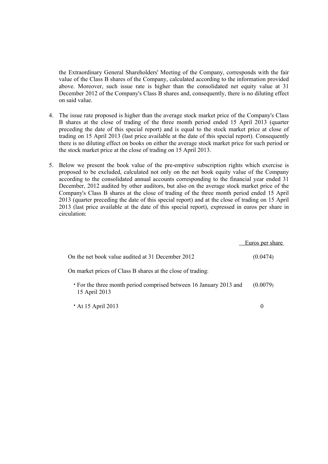the Extraordinary General Shareholders' Meeting of the Company, corresponds with the fair value of the Class B shares of the Company, calculated according to the information provided above. Moreover, such issue rate is higher than the consolidated net equity value at 31 December 2012 of the Company's Class B shares and, consequently, there is no diluting effect on said value.

- 4. The issue rate proposed is higher than the average stock market price of the Company's Class B shares at the close of trading of the three month period ended 15 April 2013 (quarter preceding the date of this special report) and is equal to the stock market price at close of trading on 15 April 2013 (last price available at the date of this special report). Consequently there is no diluting effect on books on either the average stock market price for such period or the stock market price at the close of trading on 15 April 2013.
- 5. Below we present the book value of the pre-emptive subscription rights which exercise is proposed to be excluded, calculated not only on the net book equity value of the Company according to the consolidated annual accounts corresponding to the financial year ended 31 December, 2012 audited by other auditors, but also on the average stock market price of the Company's Class B shares at the close of trading of the three month period ended 15 April 2013 (quarter preceding the date of this special report) and at the close of trading on 15 April 2013 (last price available at the date of this special report), expressed in euros per share in circulation:

|                                                                                     | Euros per share |
|-------------------------------------------------------------------------------------|-----------------|
| On the net book value audited at 31 December 2012                                   | (0.0474)        |
| On market prices of Class B shares at the close of trading:                         |                 |
| • For the three month period comprised between 16 January 2013 and<br>15 April 2013 | (0.0079)        |
| $\cdot$ At 15 April 2013                                                            | 0               |
| $\sim$                                                                              |                 |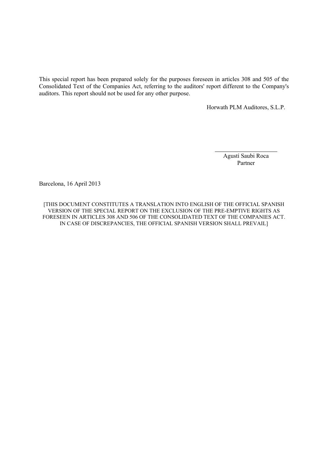This special report has been prepared solely for the purposes foreseen in articles 308 and 505 of the Consolidated Text of the Companies Act, referring to the auditors' report different to the Company's auditors. This report should not be used for any other purpose.

Horwath PLM Auditores, S.L.P.

Agustí Saubi Roca Partner

Barcelona, 16 April 2013

[THIS DOCUMENT CONSTITUTES A TRANSLATION INTO ENGLISH OF THE OFFICIAL SPANISH VERSION OF THE SPECIAL REPORT ON THE EXCLUSION OF THE PRE-EMPTIVE RIGHTS AS FORESEEN IN ARTICLES 308 AND 506 OF THE CONSOLIDATED TEXT OF THE COMPANIES ACT. IN CASE OF DISCREPANCIES, THE OFFICIAL SPANISH VERSION SHALL PREVAIL]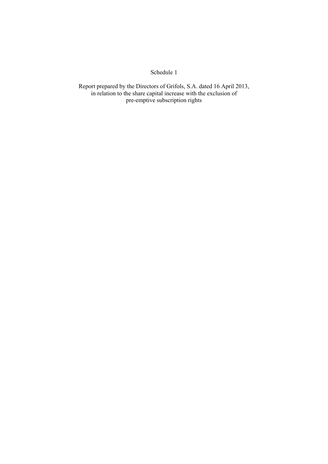### Schedule 1

Report prepared by the Directors of Grifols, S.A. dated 16 April 2013, in relation to the share capital increase with the exclusion of pre-emptive subscription rights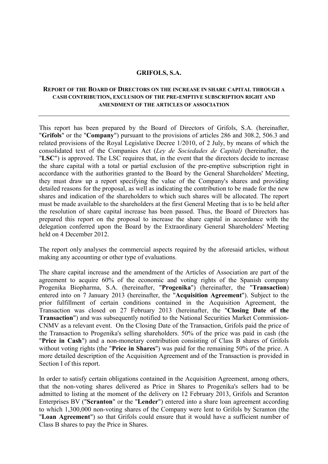#### **GRIFOLS, S.A.**

#### **REPORT OF THE BOARD OF DIRECTORS ON THE INCREASE IN SHARE CAPITAL THROUGH A CASH CONTRIBUTION, EXCLUSION OF THE PRE-EMPTIVE SUBSCRIPTION RIGHT AND AMENDMENT OF THE ARTICLES OF ASSOCIATION**

This report has been prepared by the Board of Directors of Grifols, S.A. (hereinafter, "**Grifols**" or the "**Company**") pursuant to the provisions of articles 286 and 308.2, 506.3 and related provisions of the Royal Legislative Decree 1/2010, of 2 July, by means of which the consolidated text of the Companies Act (*Ley de Sociedades de Capital)* (hereinafter, the "**LSC**") is approved. The LSC requires that, in the event that the directors decide to increase the share capital with a total or partial exclusion of the pre-emptive subscription right in accordance with the authorities granted to the Board by the General Shareholders' Meeting, they must draw up a report specifying the value of the Company's shares and providing detailed reasons for the proposal, as well as indicating the contribution to be made for the new shares and indication of the shareholders to which such shares will be allocated. The report must be made available to the shareholders at the first General Meeting that is to be held after the resolution of share capital increase has been passed. Thus, the Board of Directors has prepared this report on the proposal to increase the share capital in accordance with the delegation conferred upon the Board by the Extraordinary General Shareholders' Meeting held on 4 December 2012.

The report only analyses the commercial aspects required by the aforesaid articles, without making any accounting or other type of evaluations.

The share capital increase and the amendment of the Articles of Association are part of the agreement to acquire 60% of the economic and voting rights of the Spanish company Progenika Biopharma, S.A. (hereinafter, "**Progenika**") (hereinafter, the "**Transaction**) entered into on 7 January 2013 (hereinafter, the "**Acquisition Agreement**"). Subject to the prior fulfillment of certain conditions contained in the Acquisition Agreement, the Transaction was closed on 27 February 2013 (hereinafter, the "**Closing Date of the Transaction**") and was subsequently notified to the National Securities Market Commission-CNMV as a relevant event. On the Closing Date of the Transaction, Grifols paid the price of the Transaction to Progenika's selling shareholders. 50% of the price was paid in cash (the "**Price in Cash**") and a non-monetary contribution consisting of Class B shares of Grifols without voting rights (the "**Price in Shares**") was paid for the remaining 50% of the price. A more detailed description of the Acquisition Agreement and of the Transaction is provided in Section I of this report.

In order to satisfy certain obligations contained in the Acquisition Agreement, among others, that the non-voting shares delivered as Price in Shares to Progenika's sellers had to be admitted to listing at the moment of the delivery on 12 February 2013, Grifols and Scranton Enterprises BV ("**Scranton**" or the "**Lender**") entered into a share loan agreement according to which 1,300,000 non-voting shares of the Company were lent to Grifols by Scranton (the "**Loan Agreement**") so that Grifols could ensure that it would have a sufficient number of Class B shares to pay the Price in Shares.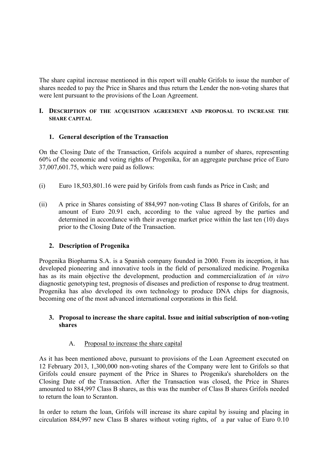The share capital increase mentioned in this report will enable Grifols to issue the number of shares needed to pay the Price in Shares and thus return the Lender the non-voting shares that were lent pursuant to the provisions of the Loan Agreement.

### **I. DESCRIPTION OF THE ACQUISITION AGREEMENT AND PROPOSAL TO INCREASE THE SHARE CAPITAL**

# **1. General description of the Transaction**

On the Closing Date of the Transaction, Grifols acquired a number of shares, representing 60% of the economic and voting rights of Progenika, for an aggregate purchase price of Euro 37,007,601.75, which were paid as follows:

- (i) Euro 18,503,801.16 were paid by Grifols from cash funds as Price in Cash; and
- (ii) A price in Shares consisting of 884,997 non-voting Class B shares of Grifols, for an amount of Euro 20.91 each, according to the value agreed by the parties and determined in accordance with their average market price within the last ten (10) days prior to the Closing Date of the Transaction.

# **2. Description of Progenika**

Progenika Biopharma S.A. is a Spanish company founded in 2000. From its inception, it has developed pioneering and innovative tools in the field of personalized medicine. Progenika has as its main objective the development, production and commercialization of *in vitro* diagnostic genotyping test, prognosis of diseases and prediction of response to drug treatment. Progenika has also developed its own technology to produce DNA chips for diagnosis, becoming one of the most advanced international corporations in this field.

### **3. Proposal to increase the share capital. Issue and initial subscription of non-voting shares**

# A. Proposal to increase the share capital

As it has been mentioned above, pursuant to provisions of the Loan Agreement executed on 12 February 2013, 1,300,000 non-voting shares of the Company were lent to Grifols so that Grifols could ensure payment of the Price in Shares to Progenika's shareholders on the Closing Date of the Transaction. After the Transaction was closed, the Price in Shares amounted to 884,997 Class B shares, as this was the number of Class B shares Grifols needed to return the loan to Scranton.

In order to return the loan, Grifols will increase its share capital by issuing and placing in circulation 884,997 new Class B shares without voting rights, of a par value of Euro 0.10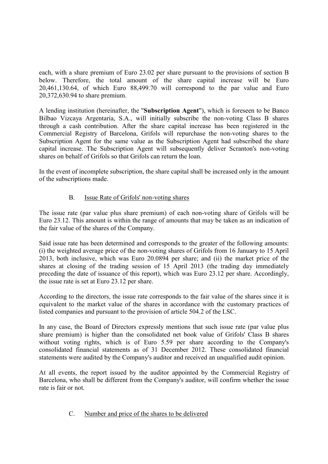each, with a share premium of Euro 23.02 per share pursuant to the provisions of section B below. Therefore, the total amount of the share capital increase will be Euro 20,461,130.64, of which Euro 88,499.70 will correspond to the par value and Euro 20,372,630.94 to share premium.

A lending institution (hereinafter, the "**Subscription Agent**"), which is foreseen to be Banco Bilbao Vizcaya Argentaria, S.A., will initially subscribe the non-voting Class B shares through a cash contribution. After the share capital increase has been registered in the Commercial Registry of Barcelona, Grifols will repurchase the non-voting shares to the Subscription Agent for the same value as the Subscription Agent had subscribed the share capital increase. The Subscription Agent will subsequently deliver Scranton's non-voting shares on behalf of Grifols so that Grifols can return the loan.

In the event of incomplete subscription, the share capital shall be increased only in the amount of the subscriptions made.

# B. Issue Rate of Grifols' non-voting shares

The issue rate (par value plus share premium) of each non-voting share of Grifols will be Euro 23.12. This amount is within the range of amounts that may be taken as an indication of the fair value of the shares of the Company.

Said issue rate has been determined and corresponds to the greater of the following amounts: (i) the weighted average price of the non-voting shares of Grifols from 16 January to 15 April 2013, both inclusive, which was Euro 20.0894 per share; and (ii) the market price of the shares at closing of the trading session of 15 April 2013 (the trading day immediately preceding the date of issuance of this report), which was Euro 23.12 per share. Accordingly, the issue rate is set at Euro 23.12 per share.

According to the directors, the issue rate corresponds to the fair value of the shares since it is equivalent to the market value of the shares in accordance with the customary practices of listed companies and pursuant to the provision of article 504.2 of the LSC.

In any case, the Board of Directors expressly mentions that such issue rate (par value plus share premium) is higher than the consolidated net book value of Grifols' Class B shares without voting rights, which is of Euro 5.59 per share according to the Company's consolidated financial statements as of 31 December 2012. These consolidated financial statements were audited by the Company's auditor and received an unqualified audit opinion.

At all events, the report issued by the auditor appointed by the Commercial Registry of Barcelona, who shall be different from the Company's auditor, will confirm whether the issue rate is fair or not.

C. Number and price of the shares to be delivered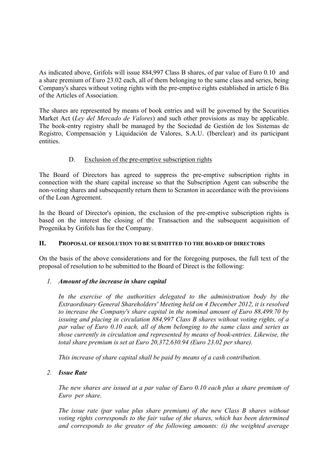As indicated above, Grifols will issue 884,997 Class B shares, of par value of Euro 0.10 and a share premium of Euro 23.02 each, all of them belonging to the same class and series, being Company's shares without voting rights with the pre-emptive rights established in article 6 Bis of the Articles of Association.

The shares are represented by means of book entries and will be governed by the Securities Market Act (*Ley del Mercado de Valores*) and such other provisions as may be applicable. The book-entry registry shall be managed by the Sociedad de Gestión de los Sistemas de Registro, Compensación y Liquidación de Valores, S.A.U. (Iberclear) and its participant entities.

# D. Exclusion of the pre-emptive subscription rights

The Board of Directors has agreed to suppress the pre-emptive subscription rights in connection with the share capital increase so that the Subscription Agent can subscribe the non-voting shares and subsequently return them to Scranton in accordance with the provisions of the Loan Agreement.

In the Board of Director's opinion, the exclusion of the pre-emptive subscription rights is based on the interest the closing of the Transaction and the subsequent acquisition of Progenika by Grifols has for the Company.

# **II. PROPOSAL OF RESOLUTION TO BE SUBMITTED TO THE BOARD OF DIRECTORS**

On the basis of the above considerations and for the foregoing purposes, the full text of the proposal of resolution to be submitted to the Board of Direct is the following:

# *1. Amount of the increase in share capital*

*In the exercise of the authorities delegated to the administration body by the Extraordinary General Shareholders' Meeting held on 4 December 2012, it is resolved to increase the Company's share capital in the nominal amount of Euro 88,499.70 by issuing and placing in circulation 884,997 Class B shares without voting rights, of a par value of Euro 0.10 each, all of them belonging to the same class and series as those currently in circulation and represented by means of book-entries. Likewise, the total share premium is set at Euro 20,372,630.94 (Euro 23.02 per share).*

*This increase of share capital shall be paid by means of a cash contribution.* 

# *2. Issue Rate*

*The new shares are issued at a par value of Euro 0.10 each plus a share premium of Euro per share.*

*The issue rate (par value plus share premium) of the new Class B shares without voting rights corresponds to the fair value of the shares, which has been determined and corresponds to the greater of the following amounts: (i) the weighted average*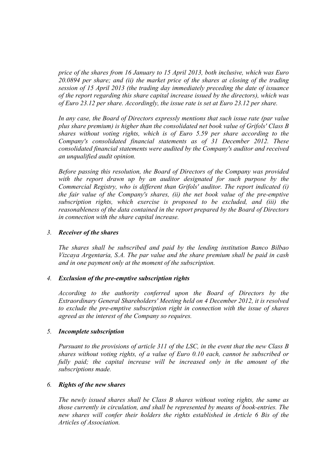*price of the shares from 16 January to 15 April 2013, both inclusive, which was Euro 20.0894 per share; and (ii) the market price of the shares at closing of the trading session of 15 April 2013 (the trading day immediately preceding the date of issuance of the report regarding this share capital increase issued by the directors), which was of Euro 23.12 per share. Accordingly, the issue rate is set at Euro 23.12 per share.*

*In any case, the Board of Directors expressly mentions that such issue rate (par value plus share premium) is higher than the consolidated net book value of Grifols' Class B shares without voting rights, which is of Euro 5.59 per share according to the Company's consolidated financial statements as of 31 December 2012. These consolidated financial statements were audited by the Company's auditor and received an unqualified audit opinion.*

*Before passing this resolution, the Board of Directors of the Company was provided with the report drawn up by an auditor designated for such purpose by the Commercial Registry, who is different than Grifols' auditor. The report indicated (i) the fair value of the Company's shares, (ii) the net book value of the pre-emptive subscription rights, which exercise is proposed to be excluded, and (iii) the reasonableness of the data contained in the report prepared by the Board of Directors in connection with the share capital increase.* 

#### *3. Receiver of the shares*

*The shares shall be subscribed and paid by the lending institution Banco Bilbao Vizcaya Argentaria, S.A. The par value and the share premium shall be paid in cash and in one payment only at the moment of the subscription.*

#### *4. Exclusion of the pre-emptive subscription rights*

*According to the authority conferred upon the Board of Directors by the Extraordinary General Shareholders' Meeting held on 4 December 2012, it is resolved to exclude the pre-emptive subscription right in connection with the issue of shares agreed as the interest of the Company so requires.*

#### *5. Incomplete subscription*

*Pursuant to the provisions of article 311 of the LSC, in the event that the new Class B shares without voting rights, of a value of Euro 0.10 each, cannot be subscribed or fully paid; the capital increase will be increased only in the amount of the subscriptions made.*

#### *6. Rights of the new shares*

*The newly issued shares shall be Class B shares without voting rights, the same as those currently in circulation, and shall be represented by means of book-entries. The new shares will confer their holders the rights established in Article 6 Bis of the Articles of Association.*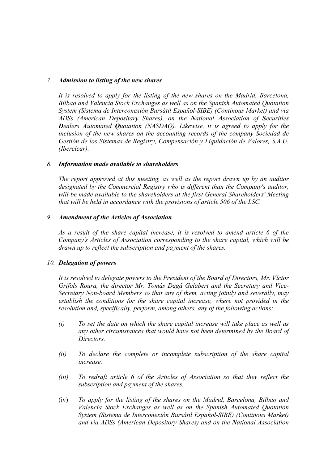#### *7. Admission to listing of the new shares*

*It is resolved to apply for the listing of the new shares on the Madrid, Barcelona, Bilbao and Valencia Stock Exchanges as well as on the Spanish Automated Quotation System (Sistema de Interconexión Bursátil Español-SIBE) (Continous Market) and via ADSs (American Depositary Shares), on the National Association of Securities Dealers Automated Quotation (NASDAQ). Likewise, it is agreed to apply for the inclusion of the new shares on the accounting records of the company Sociedad de Gestión de los Sistemas de Registry, Compensación y Liquidación de Valores, S.A.U. (Iberclear).*

#### *8. Information made available to shareholders*

*The report approved at this meeting, as well as the report drawn up by an auditor designated by the Commercial Registry who is different than the Company's auditor, will be made available to the shareholders at the first General Shareholders' Meeting that will be held in accordance with the provisions of article 506 of the LSC.*

#### *9. Amendment of the Articles of Association*

*As a result of the share capital increase, it is resolved to amend article 6 of the Company's Articles of Association corresponding to the share capital, which will be drawn up to reflect the subscription and payment of the shares.*

#### *10. Delegation of powers*

*It is resolved to delegate powers to the President of the Board of Directors, Mr. Víctor Grifols Roura, the director Mr. Tomás Dagá Gelabert and the Secretary and Vice-Secretary Non-board Members so that any of them, acting jointly and severally, may establish the conditions for the share capital increase, where not provided in the resolution and, specifically, perform, among others, any of the following actions:* 

- *(i) To set the date on which the share capital increase will take place as well as any other circumstances that would have not been determined by the Board of Directors.*
- *(ii) To declare the complete or incomplete subscription of the share capital increase.*
- *(iii) To redraft article 6 of the Articles of Association so that they reflect the subscription and payment of the shares.*
- (iv) *To apply for the listing of the shares on the Madrid, Barcelona, Bilbao and Valencia Stock Exchanges as well as on the Spanish Automated Quotation System (Sistema de Interconexión Bursátil Español-SIBE) (Continous Market) and via ADSs (American Depository Shares) and on the National Association*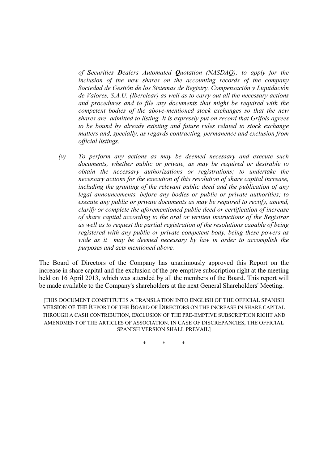*of Securities Dealers Automated Quotation (NASDAQ); to apply for the inclusion of the new shares on the accounting records of the company Sociedad de Gestión de los Sistemas de Registry, Compensación y Liquidación de Valores, S.A.U. (Iberclear) as well as to carry out all the necessary actions and procedures and to file any documents that might be required with the competent bodies of the above-mentioned stock exchanges so that the new shares are admitted to listing. It is expressly put on record that Grifols agrees to be bound by already existing and future rules related to stock exchange matters and, specially, as regards contracting, permanence and exclusion from official listings.* 

*(v) To perform any actions as may be deemed necessary and execute such documents, whether public or private, as may be required or desirable to obtain the necessary authorizations or registrations; to undertake the necessary actions for the execution of this resolution of share capital increase, including the granting of the relevant public deed and the publication of any legal announcements, before any bodies or public or private authorities; to execute any public or private documents as may be required to rectify, amend, clarify or complete the aforementioned public deed or certification of increase of share capital according to the oral or written instructions of the Registrar as well as to request the partial registration of the resolutions capable of being registered with any public or private competent body, being these powers as wide as it may be deemed necessary by law in order to accomplish the purposes and acts mentioned above.*

The Board of Directors of the Company has unanimously approved this Report on the increase in share capital and the exclusion of the pre-emptive subscription right at the meeting held on 16 April 2013, which was attended by all the members of the Board. This report will be made available to the Company's shareholders at the next General Shareholders' Meeting.

[THIS DOCUMENT CONSTITUTES A TRANSLATION INTO ENGLISH OF THE OFFICIAL SPANISH VERSION OF THE REPORT OF THE BOARD OF DIRECTORS ON THE INCREASE IN SHARE CAPITAL THROUGH A CASH CONTRIBUTION, EXCLUSION OF THE PRE-EMPTIVE SUBSCRIPTION RIGHT AND AMENDMENT OF THE ARTICLES OF ASSOCIATION. IN CASE OF DISCREPANCIES, THE OFFICIAL SPANISH VERSION SHALL PREVAIL]

\* \* \*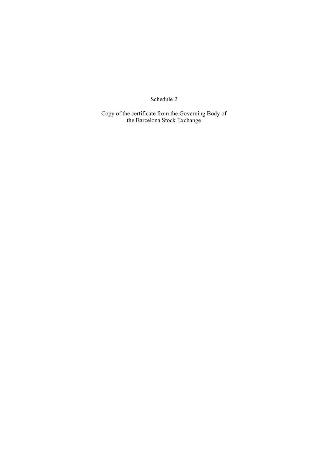Schedule 2

Copy of the certificate from the Governing Body of the Barcelona Stock Exchange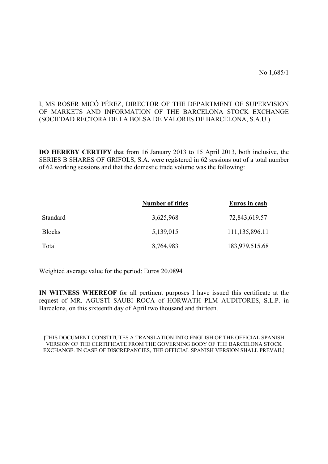No 1,685/1

# I, MS ROSER MICÓ PÉREZ, DIRECTOR OF THE DEPARTMENT OF SUPERVISION OF MARKETS AND INFORMATION OF THE BARCELONA STOCK EXCHANGE (SOCIEDAD RECTORA DE LA BOLSA DE VALORES DE BARCELONA, S.A.U.)

**DO HEREBY CERTIFY** that from 16 January 2013 to 15 April 2013, both inclusive, the SERIES B SHARES OF GRIFOLS, S.A. were registered in 62 sessions out of a total number of 62 working sessions and that the domestic trade volume was the following:

|               | <b>Number of titles</b> | Euros in cash  |
|---------------|-------------------------|----------------|
| Standard      | 3,625,968               | 72,843,619.57  |
| <b>Blocks</b> | 5,139,015               | 111,135,896.11 |
| Total         | 8,764,983               | 183,979,515.68 |

Weighted average value for the period: Euros 20.0894

**IN WITNESS WHEREOF** for all pertinent purposes I have issued this certificate at the request of MR. AGUSTÍ SAUBI ROCA of HORWATH PLM AUDITORES, S.L.P. in Barcelona, on this sixteenth day of April two thousand and thirteen.

**[**THIS DOCUMENT CONSTITUTES A TRANSLATION INTO ENGLISH OF THE OFFICIAL SPANISH VERSION OF THE CERTIFICATE FROM THE GOVERNING BODY OF THE BARCELONA STOCK EXCHANGE. IN CASE OF DISCREPANCIES, THE OFFICIAL SPANISH VERSION SHALL PREVAIL]